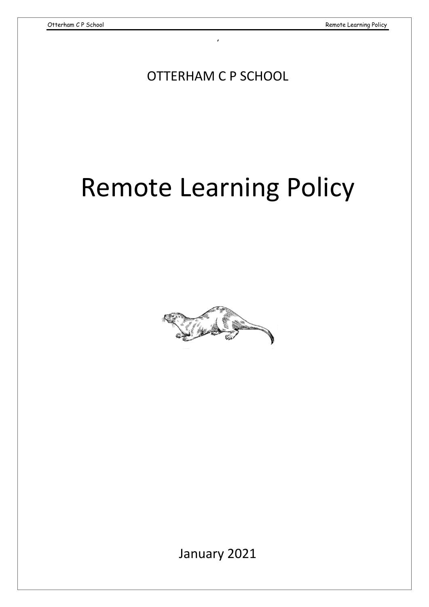OTTERHAM C P SCHOOL

,

# Remote Learning Policy



January 2021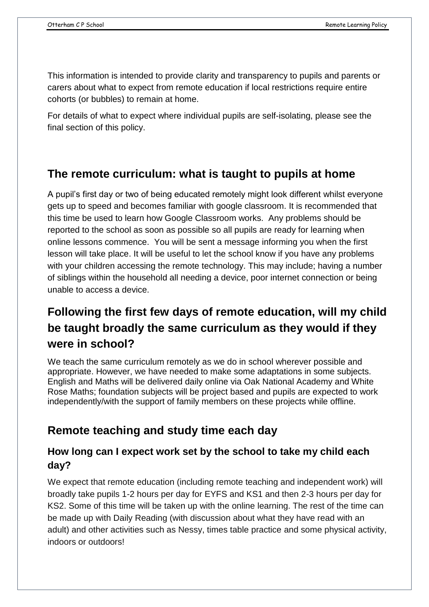This information is intended to provide clarity and transparency to pupils and parents or carers about what to expect from remote education if local restrictions require entire cohorts (or bubbles) to remain at home.

For details of what to expect where individual pupils are self-isolating, please see the final section of this policy.

#### **The remote curriculum: what is taught to pupils at home**

A pupil's first day or two of being educated remotely might look different whilst everyone gets up to speed and becomes familiar with google classroom. It is recommended that this time be used to learn how Google Classroom works. Any problems should be reported to the school as soon as possible so all pupils are ready for learning when online lessons commence. You will be sent a message informing you when the first lesson will take place. It will be useful to let the school know if you have any problems with your children accessing the remote technology. This may include; having a number of siblings within the household all needing a device, poor internet connection or being unable to access a device.

# **Following the first few days of remote education, will my child be taught broadly the same curriculum as they would if they were in school?**

We teach the same curriculum remotely as we do in school wherever possible and appropriate. However, we have needed to make some adaptations in some subjects. English and Maths will be delivered daily online via Oak National Academy and White Rose Maths; foundation subjects will be project based and pupils are expected to work independently/with the support of family members on these projects while offline.

#### **Remote teaching and study time each day**

#### **How long can I expect work set by the school to take my child each day?**

We expect that remote education (including remote teaching and independent work) will broadly take pupils 1-2 hours per day for EYFS and KS1 and then 2-3 hours per day for KS2. Some of this time will be taken up with the online learning. The rest of the time can be made up with Daily Reading (with discussion about what they have read with an adult) and other activities such as Nessy, times table practice and some physical activity, indoors or outdoors!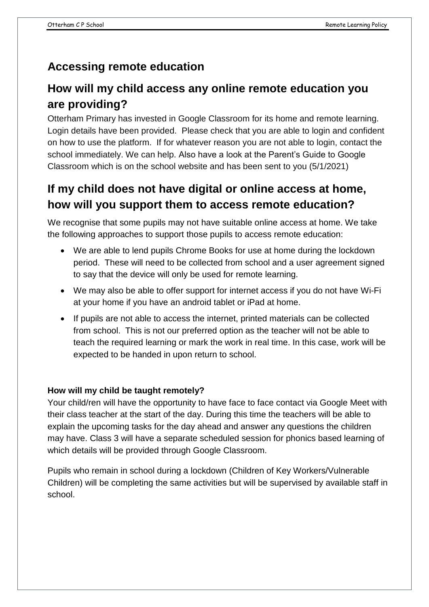#### **Accessing remote education**

## **How will my child access any online remote education you are providing?**

Otterham Primary has invested in Google Classroom for its home and remote learning. Login details have been provided. Please check that you are able to login and confident on how to use the platform. If for whatever reason you are not able to login, contact the school immediately. We can help. Also have a look at the Parent's Guide to Google Classroom which is on the school website and has been sent to you (5/1/2021)

## **If my child does not have digital or online access at home, how will you support them to access remote education?**

We recognise that some pupils may not have suitable online access at home. We take the following approaches to support those pupils to access remote education:

- We are able to lend pupils Chrome Books for use at home during the lockdown period. These will need to be collected from school and a user agreement signed to say that the device will only be used for remote learning.
- We may also be able to offer support for internet access if you do not have Wi-Fi at your home if you have an android tablet or iPad at home.
- If pupils are not able to access the internet, printed materials can be collected from school. This is not our preferred option as the teacher will not be able to teach the required learning or mark the work in real time. In this case, work will be expected to be handed in upon return to school.

#### **How will my child be taught remotely?**

Your child/ren will have the opportunity to have face to face contact via Google Meet with their class teacher at the start of the day. During this time the teachers will be able to explain the upcoming tasks for the day ahead and answer any questions the children may have. Class 3 will have a separate scheduled session for phonics based learning of which details will be provided through Google Classroom.

Pupils who remain in school during a lockdown (Children of Key Workers/Vulnerable Children) will be completing the same activities but will be supervised by available staff in school.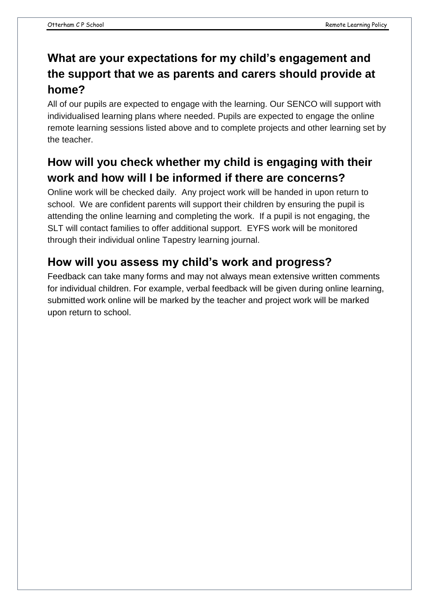# **What are your expectations for my child's engagement and the support that we as parents and carers should provide at home?**

All of our pupils are expected to engage with the learning. Our SENCO will support with individualised learning plans where needed. Pupils are expected to engage the online remote learning sessions listed above and to complete projects and other learning set by the teacher.

## **How will you check whether my child is engaging with their work and how will I be informed if there are concerns?**

Online work will be checked daily. Any project work will be handed in upon return to school. We are confident parents will support their children by ensuring the pupil is attending the online learning and completing the work. If a pupil is not engaging, the SLT will contact families to offer additional support. EYFS work will be monitored through their individual online Tapestry learning journal.

## **How will you assess my child's work and progress?**

Feedback can take many forms and may not always mean extensive written comments for individual children. For example, verbal feedback will be given during online learning, submitted work online will be marked by the teacher and project work will be marked upon return to school.